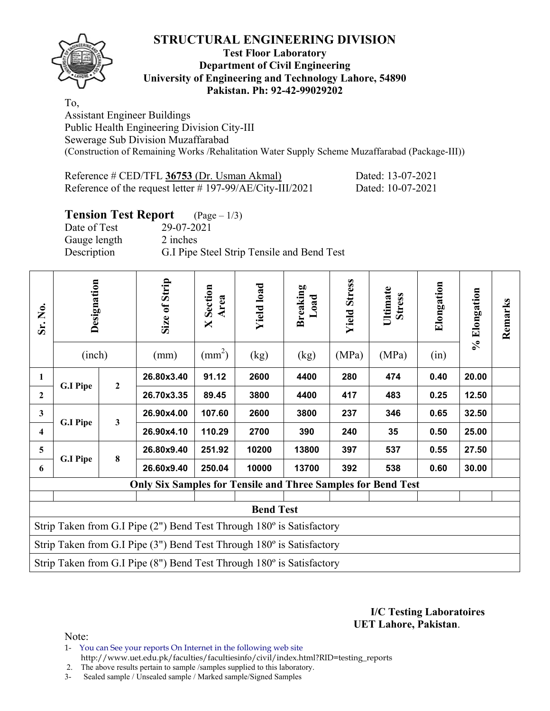

#### **Test Floor Laboratory Department of Civil Engineering University of Engineering and Technology Lahore, 54890 Pakistan. Ph: 92-42-99029202**

To, Assistant Engineer Buildings Public Health Engineering Division City-III Sewerage Sub Division Muzaffarabad (Construction of Remaining Works /Rehalitation Water Supply Scheme Muzaffarabad (Package-III))

Reference # CED/TFL **36753** (Dr. Usman Akmal) Dated: 13-07-2021 Reference of the request letter # 197-99/AE/City-III/2021 Dated: 10-07-2021

## **Tension Test Report** (Page – 1/3)

Date of Test 29-07-2021 Gauge length 2 inches Description G.I Pipe Steel Strip Tensile and Bend Test

| Sr. No.                 | Designation<br>(inch) |                | Size of Strip<br>(mm)                                                          | Section<br>Area<br>X<br>$\text{(mm}^2)$ | <b>Yield load</b><br>(kg) | <b>Breaking</b><br>Load<br>(kg) | <b>Yield Stress</b><br>(MPa) | Ultimate<br><b>Stress</b><br>(MPa) | Elongation<br>(in) | % Elongation | Remarks |
|-------------------------|-----------------------|----------------|--------------------------------------------------------------------------------|-----------------------------------------|---------------------------|---------------------------------|------------------------------|------------------------------------|--------------------|--------------|---------|
| $\mathbf{1}$            |                       | $\overline{2}$ | 26.80x3.40                                                                     | 91.12                                   | 2600                      | 4400                            | 280                          | 474                                | 0.40               | 20.00        |         |
| $\mathbf{2}$            | <b>G.I Pipe</b>       |                | 26.70x3.35                                                                     | 89.45                                   | 3800                      | 4400                            | 417                          | 483                                | 0.25               | 12.50        |         |
| 3                       | <b>G.I Pipe</b>       | 3              | 26.90x4.00                                                                     | 107.60                                  | 2600                      | 3800                            | 237                          | 346                                | 0.65               | 32.50        |         |
| $\overline{\mathbf{4}}$ |                       |                | 26.90x4.10                                                                     | 110.29                                  | 2700                      | 390                             | 240                          | 35                                 | 0.50               | 25.00        |         |
| 5                       | <b>G.I Pipe</b>       | $\bf{8}$       | 26.80x9.40                                                                     | 251.92                                  | 10200                     | 13800                           | 397                          | 537                                | 0.55               | 27.50        |         |
| 6                       |                       |                | 26.60x9.40                                                                     | 250.04                                  | 10000                     | 13700                           | 392                          | 538                                | 0.60               | 30.00        |         |
|                         |                       |                | <b>Only Six Samples for Tensile and Three Samples for Bend Test</b>            |                                         |                           |                                 |                              |                                    |                    |              |         |
|                         | <b>Bend Test</b>      |                |                                                                                |                                         |                           |                                 |                              |                                    |                    |              |         |
|                         |                       |                | Strip Taken from G.I Pipe $(2")$ Bend Test Through $180^\circ$ is Satisfactory |                                         |                           |                                 |                              |                                    |                    |              |         |
|                         |                       |                | Strip Taken from G.I Pipe $(3")$ Bend Test Through $180^\circ$ is Satisfactory |                                         |                           |                                 |                              |                                    |                    |              |         |
|                         |                       |                | Strip Taken from G.I Pipe (8") Bend Test Through 180° is Satisfactory          |                                         |                           |                                 |                              |                                    |                    |              |         |

**I/C Testing Laboratoires UET Lahore, Pakistan**.

Note:

1- You can See your reports On Internet in the following web site http://www.uet.edu.pk/faculties/facultiesinfo/civil/index.html?RID=testing\_reports

2. The above results pertain to sample /samples supplied to this laboratory.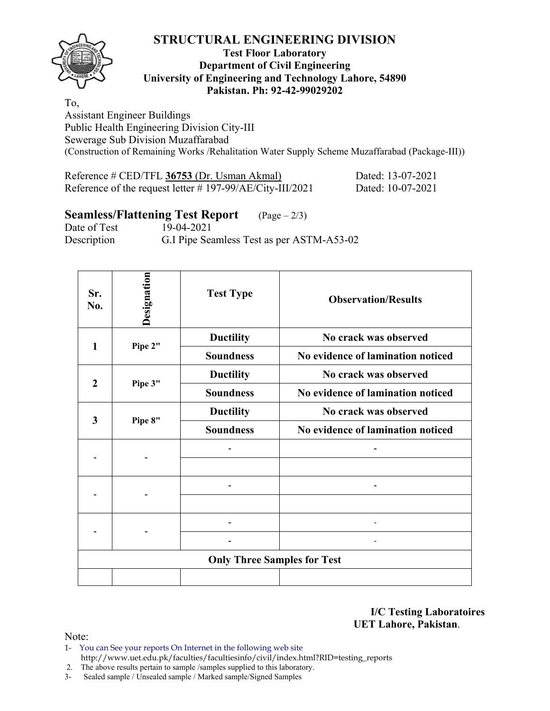

#### **Test Floor Laboratory Department of Civil Engineering University of Engineering and Technology Lahore, 54890 Pakistan. Ph: 92-42-99029202**

To,

Assistant Engineer Buildings Public Health Engineering Division City-III Sewerage Sub Division Muzaffarabad (Construction of Remaining Works /Rehalitation Water Supply Scheme Muzaffarabad (Package-III))

| Reference # CED/TFL 36753 (Dr. Usman Akmal)                  | Dated: 13-07-2021 |
|--------------------------------------------------------------|-------------------|
| Reference of the request letter $\#$ 197-99/AE/City-III/2021 | Dated: 10-07-2021 |

## **Seamless/Flattening Test Report** (Page – 2/3)

Date of Test 19-04-2021 Description G.I Pipe Seamless Test as per ASTM-A53-02

| Sr.<br>No.              | Designation      | <b>Test Type</b>                   | <b>Observation/Results</b>        |  |  |  |  |  |
|-------------------------|------------------|------------------------------------|-----------------------------------|--|--|--|--|--|
| 1                       | Pipe 2"          | <b>Ductility</b>                   | No crack was observed             |  |  |  |  |  |
|                         |                  | <b>Soundness</b>                   | No evidence of lamination noticed |  |  |  |  |  |
| $\overline{2}$          |                  | <b>Ductility</b>                   | No crack was observed             |  |  |  |  |  |
|                         | Pipe 3"          | <b>Soundness</b>                   | No evidence of lamination noticed |  |  |  |  |  |
| $\overline{\mathbf{3}}$ | <b>Ductility</b> |                                    | No crack was observed             |  |  |  |  |  |
|                         | Pipe 8"          | <b>Soundness</b>                   | No evidence of lamination noticed |  |  |  |  |  |
|                         |                  |                                    |                                   |  |  |  |  |  |
|                         |                  |                                    |                                   |  |  |  |  |  |
|                         |                  |                                    |                                   |  |  |  |  |  |
|                         |                  |                                    |                                   |  |  |  |  |  |
|                         |                  |                                    |                                   |  |  |  |  |  |
|                         |                  |                                    |                                   |  |  |  |  |  |
|                         |                  | <b>Only Three Samples for Test</b> |                                   |  |  |  |  |  |
|                         |                  |                                    |                                   |  |  |  |  |  |

**I/C Testing Laboratoires UET Lahore, Pakistan**.

- 1- You can See your reports On Internet in the following web site http://www.uet.edu.pk/faculties/facultiesinfo/civil/index.html?RID=testing\_reports
- 2. The above results pertain to sample /samples supplied to this laboratory.
- 3- Sealed sample / Unsealed sample / Marked sample/Signed Samples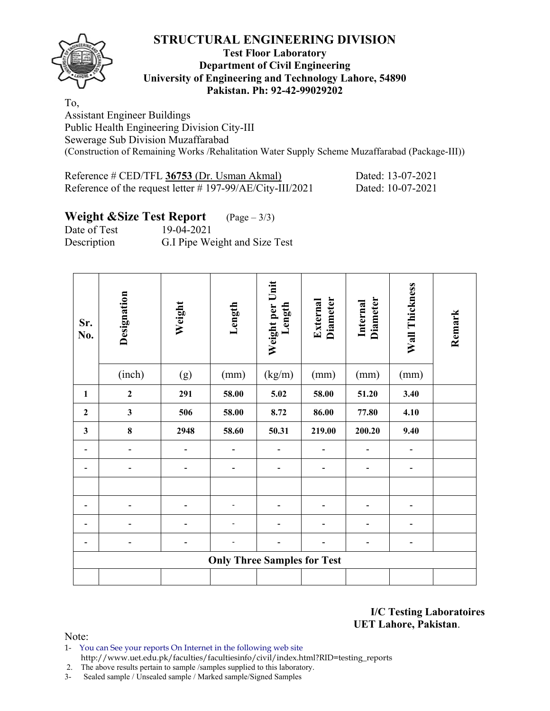

#### **Test Floor Laboratory Department of Civil Engineering University of Engineering and Technology Lahore, 54890 Pakistan. Ph: 92-42-99029202**

To,

Assistant Engineer Buildings Public Health Engineering Division City-III Sewerage Sub Division Muzaffarabad (Construction of Remaining Works /Rehalitation Water Supply Scheme Muzaffarabad (Package-III))

Reference # CED/TFL **36753** (Dr. Usman Akmal) Dated: 13-07-2021 Reference of the request letter # 197-99/AE/City-III/2021 Dated: 10-07-2021

# **Weight &Size Test Report** (Page – 3/3)

Date of Test 19-04-2021 Description G.I Pipe Weight and Size Test

| Sr.<br>No.   | Designation                  | Weight | Length                             | Weight per Unit<br>Length | <b>Diameter</b><br>External | <b>Diameter</b><br>Internal | Wall Thickness               | Remark |
|--------------|------------------------------|--------|------------------------------------|---------------------------|-----------------------------|-----------------------------|------------------------------|--------|
|              | (inch)                       | (g)    | (mm)                               | (kg/m)                    | (mm)                        | (mm)                        | (mm)                         |        |
| $\mathbf{1}$ | $\boldsymbol{2}$             | 291    | 58.00                              | 5.02                      | 58.00                       | 51.20                       | 3.40                         |        |
| $\mathbf{2}$ | $\mathbf{3}$                 | 506    | 58.00                              | 8.72                      | 86.00                       | 77.80                       | 4.10                         |        |
| $\mathbf{3}$ | $\pmb{8}$                    | 2948   | 58.60                              | 50.31                     | 219.00                      | 200.20                      | 9.40                         |        |
|              |                              |        |                                    |                           |                             |                             |                              |        |
|              | $\qquad \qquad \blacksquare$ |        |                                    |                           |                             | -                           | $\qquad \qquad \blacksquare$ |        |
|              |                              |        |                                    |                           |                             |                             |                              |        |
|              |                              |        |                                    |                           |                             |                             |                              |        |
|              |                              |        |                                    |                           |                             |                             | ۰                            |        |
|              |                              |        |                                    |                           |                             |                             | ۰                            |        |
|              |                              |        | <b>Only Three Samples for Test</b> |                           |                             |                             |                              |        |
|              |                              |        |                                    |                           |                             |                             |                              |        |

**I/C Testing Laboratoires UET Lahore, Pakistan**.

Note:

1- You can See your reports On Internet in the following web site http://www.uet.edu.pk/faculties/facultiesinfo/civil/index.html?RID=testing\_reports

2. The above results pertain to sample /samples supplied to this laboratory.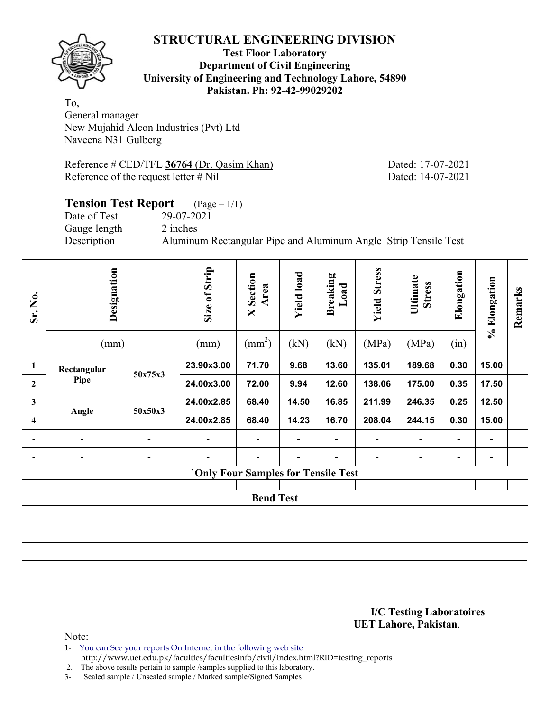

**Test Floor Laboratory Department of Civil Engineering University of Engineering and Technology Lahore, 54890 Pakistan. Ph: 92-42-99029202** 

To, General manager New Mujahid Alcon Industries (Pvt) Ltd Naveena N31 Gulberg

Reference # CED/TFL 36764 (Dr. Qasim Khan) Dated: 17-07-2021 Reference of the request letter # Nil Dated: 14-07-2021

## **Tension Test Report** (Page – 1/1) Date of Test 29-07-2021 Gauge length 2 inches Description Aluminum Rectangular Pipe and Aluminum Angle Strip Tensile Test

| Sr. No.                  | Designation<br>(mm)          |                          | Size of Strip<br>(mm)               | <b>X</b> Section<br>Area<br>$\text{(mm}^2)$ | <b>Yield load</b><br>(kN) | <b>Breaking</b><br>Load<br>(kN) | <b>Yield Stress</b><br>(MPa) | Ultimate<br><b>Stress</b><br>(MPa) | Elongation<br>(in)       | % Elongation                 | Remarks |  |
|--------------------------|------------------------------|--------------------------|-------------------------------------|---------------------------------------------|---------------------------|---------------------------------|------------------------------|------------------------------------|--------------------------|------------------------------|---------|--|
| $\mathbf{1}$             | Rectangular                  |                          | 23.90x3.00                          | 71.70                                       | 9.68                      | 13.60                           | 135.01                       | 189.68                             | 0.30                     | 15.00                        |         |  |
| $\mathbf{2}$             | Pipe                         | 50x75x3                  | 24.00x3.00                          | 72.00                                       | 9.94                      | 12.60                           | 138.06                       | 175.00                             | 0.35                     | 17.50                        |         |  |
| $\mathbf{3}$             | Angle                        | 50x50x3                  | 24.00x2.85                          | 68.40                                       | 14.50                     | 16.85                           | 211.99                       | 246.35                             | 0.25                     | 12.50                        |         |  |
| $\overline{\mathbf{4}}$  |                              |                          | 24.00x2.85                          | 68.40                                       | 14.23                     | 16.70                           | 208.04                       | 244.15                             | 0.30                     | 15.00                        |         |  |
| $\overline{\phantom{a}}$ | $\qquad \qquad \blacksquare$ | $\overline{\phantom{0}}$ | $\overline{a}$                      | $\overline{\phantom{a}}$                    | $\blacksquare$            | $\overline{\phantom{a}}$        | $\overline{\phantom{a}}$     | Ξ.                                 | $\overline{\phantom{a}}$ | $\qquad \qquad \blacksquare$ |         |  |
|                          | $\blacksquare$               | $\overline{\phantom{a}}$ | $\overline{\phantom{0}}$            |                                             |                           |                                 | $\overline{\phantom{a}}$     | -                                  | $\overline{\phantom{a}}$ | $\blacksquare$               |         |  |
|                          |                              |                          | 'Only Four Samples for Tensile Test |                                             |                           |                                 |                              |                                    |                          |                              |         |  |
|                          | <b>Bend Test</b>             |                          |                                     |                                             |                           |                                 |                              |                                    |                          |                              |         |  |
|                          |                              |                          |                                     |                                             |                           |                                 |                              |                                    |                          |                              |         |  |
|                          |                              |                          |                                     |                                             |                           |                                 |                              |                                    |                          |                              |         |  |
|                          |                              |                          |                                     |                                             |                           |                                 |                              |                                    |                          |                              |         |  |

**I/C Testing Laboratoires UET Lahore, Pakistan**.

Note:

- 1- You can See your reports On Internet in the following web site
	- http://www.uet.edu.pk/faculties/facultiesinfo/civil/index.html?RID=testing\_reports

2. The above results pertain to sample /samples supplied to this laboratory.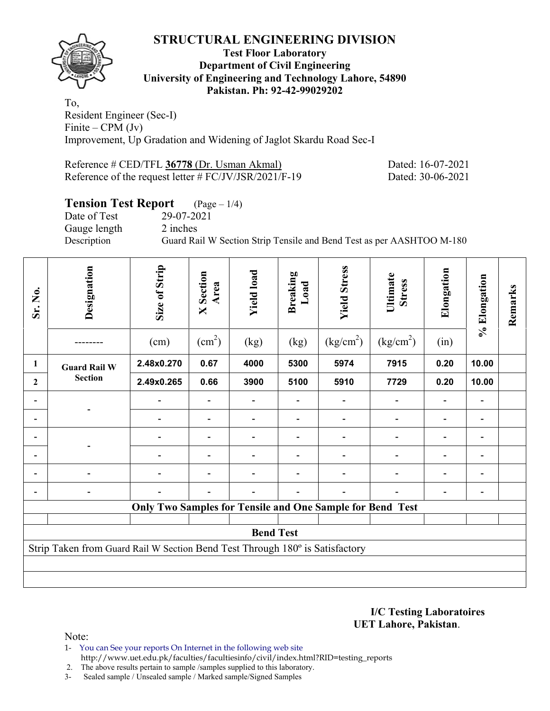

#### **Test Floor Laboratory Department of Civil Engineering University of Engineering and Technology Lahore, 54890 Pakistan. Ph: 92-42-99029202**

To, Resident Engineer (Sec-I) Finite – CPM (Jv) Improvement, Up Gradation and Widening of Jaglot Skardu Road Sec-I

| Reference # CED/TFL 36778 (Dr. Usman Akmal)              |  |
|----------------------------------------------------------|--|
| Reference of the request letter $\# FC/JV/JSR/2021/F-19$ |  |

ated: 16-07-2021 ated: 30-06-2021

## **Tension Test Report** (Page – 1/4)

Date of Test 29-07-2021 Gauge length 2 inches

Description Guard Rail W Section Strip Tensile and Bend Test as per AASHTOO M-180

| Sr. No.      | Designation                                                                  | Size of Strip<br>(cm)                                     | <b>X</b> Section<br>Area<br>$\text{(cm}^2)$ | <b>Yield load</b><br>(kg) | Breaking<br>Load<br>(kg) | <b>Yield Stress</b><br>(kg/cm <sup>2</sup> ) | Ultimate<br><b>Stress</b><br>(kg/cm <sup>2</sup> ) | Elongation<br>(in)       | % Elongation             | Remarks |
|--------------|------------------------------------------------------------------------------|-----------------------------------------------------------|---------------------------------------------|---------------------------|--------------------------|----------------------------------------------|----------------------------------------------------|--------------------------|--------------------------|---------|
| 1            | <b>Guard Rail W</b>                                                          | 2.48x0.270                                                | 0.67                                        | 4000                      | 5300                     | 5974                                         | 7915                                               | 0.20                     | 10.00                    |         |
| $\mathbf{2}$ | <b>Section</b>                                                               | 2.49x0.265                                                | 0.66                                        | 3900                      | 5100                     | 5910                                         | 7729                                               | 0.20                     | 10.00                    |         |
|              |                                                                              |                                                           |                                             | $\overline{\phantom{a}}$  |                          |                                              |                                                    | $\overline{\phantom{a}}$ | $\overline{\phantom{a}}$ |         |
|              |                                                                              |                                                           |                                             |                           |                          |                                              |                                                    |                          |                          |         |
|              |                                                                              |                                                           |                                             |                           |                          |                                              |                                                    |                          |                          |         |
|              |                                                                              |                                                           |                                             |                           |                          |                                              |                                                    |                          |                          |         |
|              |                                                                              |                                                           |                                             |                           |                          |                                              |                                                    |                          |                          |         |
|              |                                                                              |                                                           |                                             |                           |                          |                                              |                                                    |                          |                          |         |
|              |                                                                              | Only Two Samples for Tensile and One Sample for Bend Test |                                             |                           |                          |                                              |                                                    |                          |                          |         |
|              |                                                                              |                                                           |                                             | <b>Bend Test</b>          |                          |                                              |                                                    |                          |                          |         |
|              | Strip Taken from Guard Rail W Section Bend Test Through 180° is Satisfactory |                                                           |                                             |                           |                          |                                              |                                                    |                          |                          |         |
|              |                                                                              |                                                           |                                             |                           |                          |                                              |                                                    |                          |                          |         |
|              |                                                                              |                                                           |                                             |                           |                          |                                              |                                                    |                          |                          |         |

**I/C Testing Laboratoires UET Lahore, Pakistan**.

Note:

1- You can See your reports On Internet in the following web site http://www.uet.edu.pk/faculties/facultiesinfo/civil/index.html?RID=testing\_reports

2. The above results pertain to sample /samples supplied to this laboratory.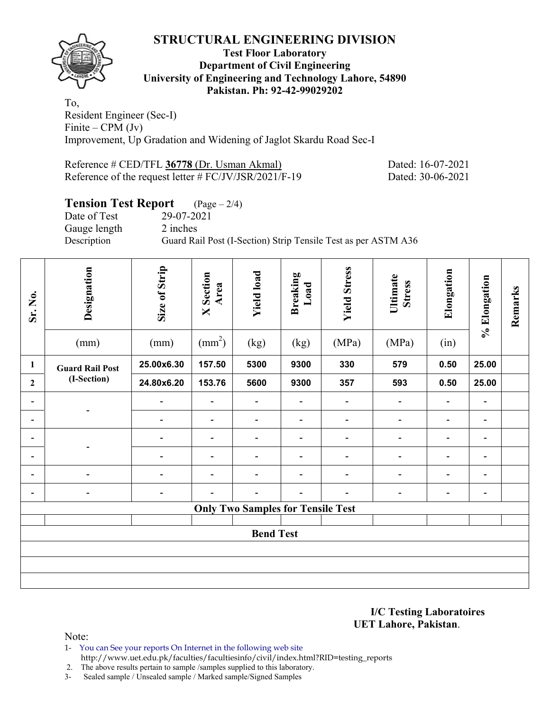

#### **Test Floor Laboratory Department of Civil Engineering University of Engineering and Technology Lahore, 54890 Pakistan. Ph: 92-42-99029202**

To, Resident Engineer (Sec-I) Finite – CPM  $(Jv)$ Improvement, Up Gradation and Widening of Jaglot Skardu Road Sec-I

Reference # CED/TFL **36778** (Dr. Usman Akmal) Dated: 16-07-2021 Reference of the request letter # FC/JV/JSR/2021/F-19 Dated: 30-06-2021

## **Tension Test Report** (Page – 2/4)

Date of Test 29-07-2021 Gauge length 2 inches

Description Guard Rail Post (I-Section) Strip Tensile Test as per ASTM A36

| Sr. No.                      | Designation            | Size of Strip                | Section<br>Area<br>$\boxtimes$ | <b>Yield load</b>                        | <b>Breaking</b><br>Load      | <b>Yield Stress</b>          | Ultimate<br><b>Stress</b>    | Elongation                   | % Elongation                 | Remarks |
|------------------------------|------------------------|------------------------------|--------------------------------|------------------------------------------|------------------------------|------------------------------|------------------------------|------------------------------|------------------------------|---------|
|                              | (mm)                   | (mm)                         | $\text{(mm}^2)$                | (kg)                                     | (kg)                         | (MPa)                        | (MPa)                        | (in)                         |                              |         |
| $\mathbf{1}$                 | <b>Guard Rail Post</b> | 25.00x6.30                   | 157.50                         | 5300                                     | 9300                         | 330                          | 579                          | 0.50                         | 25.00                        |         |
| $\overline{2}$               | (I-Section)            | 24.80x6.20                   | 153.76                         | 5600                                     | 9300                         | 357                          | 593                          | 0.50                         | 25.00                        |         |
| $\qquad \qquad \blacksquare$ |                        | $\overline{\phantom{a}}$     | $\qquad \qquad \blacksquare$   | $\blacksquare$                           | $\qquad \qquad \blacksquare$ | $\qquad \qquad \blacksquare$ | $\blacksquare$               | $\blacksquare$               | $\qquad \qquad \blacksquare$ |         |
| -                            |                        | $\overline{\phantom{a}}$     | $\qquad \qquad \blacksquare$   | $\qquad \qquad \blacksquare$             | $\qquad \qquad \blacksquare$ | $\qquad \qquad \blacksquare$ | $\qquad \qquad \blacksquare$ | $\overline{\phantom{a}}$     | $\qquad \qquad \blacksquare$ |         |
| $\qquad \qquad \blacksquare$ |                        | $\overline{\phantom{a}}$     | $\qquad \qquad \blacksquare$   | $\qquad \qquad \blacksquare$             | $\qquad \qquad \blacksquare$ | $\qquad \qquad \blacksquare$ | $\qquad \qquad \blacksquare$ | $\blacksquare$               | $\qquad \qquad \blacksquare$ |         |
| -                            |                        | $\qquad \qquad \blacksquare$ | -                              | $\qquad \qquad \blacksquare$             | -                            | -                            | $\qquad \qquad \blacksquare$ | $\qquad \qquad \blacksquare$ | -                            |         |
| $\qquad \qquad \blacksquare$ |                        | $\overline{\phantom{a}}$     | $\qquad \qquad \blacksquare$   | $\qquad \qquad \blacksquare$             | $\overline{\phantom{0}}$     | $\qquad \qquad \blacksquare$ | $\qquad \qquad \blacksquare$ | $\blacksquare$               | $\overline{\phantom{a}}$     |         |
| $\qquad \qquad \blacksquare$ | -                      | $\overline{\phantom{a}}$     |                                | $\qquad \qquad \blacksquare$             | $\qquad \qquad \blacksquare$ | -                            | $\qquad \qquad \blacksquare$ | $\overline{\phantom{a}}$     | $\qquad \qquad \blacksquare$ |         |
|                              |                        |                              |                                | <b>Only Two Samples for Tensile Test</b> |                              |                              |                              |                              |                              |         |
|                              |                        |                              |                                |                                          |                              |                              |                              |                              |                              |         |
|                              |                        |                              |                                | <b>Bend Test</b>                         |                              |                              |                              |                              |                              |         |
|                              |                        |                              |                                |                                          |                              |                              |                              |                              |                              |         |
|                              |                        |                              |                                |                                          |                              |                              |                              |                              |                              |         |
|                              |                        |                              |                                |                                          |                              |                              |                              |                              |                              |         |

**I/C Testing Laboratoires UET Lahore, Pakistan**.

Note:

1- You can See your reports On Internet in the following web site http://www.uet.edu.pk/faculties/facultiesinfo/civil/index.html?RID=testing\_reports

2. The above results pertain to sample /samples supplied to this laboratory.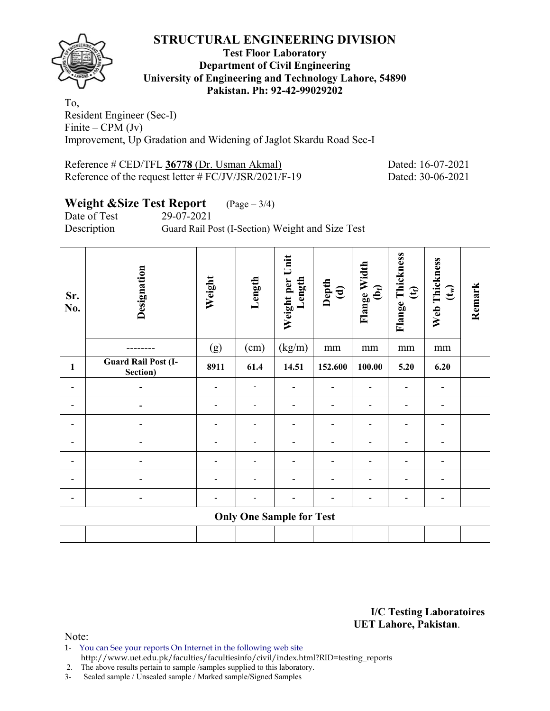

#### **Test Floor Laboratory Department of Civil Engineering University of Engineering and Technology Lahore, 54890 Pakistan. Ph: 92-42-99029202**

To, Resident Engineer (Sec-I) Finite – CPM  $(Jv)$ Improvement, Up Gradation and Widening of Jaglot Skardu Road Sec-I

Reference # CED/TFL **36778** (Dr. Usman Akmal) Dated: 16-07-2021 Reference of the request letter # FC/JV/JSR/2021/F-19 Dated: 30-06-2021

## **Weight &Size Test Report** (Page – 3/4)

Date of Test 29-07-2021

Description Guard Rail Post (I-Section) Weight and Size Test

| Sr.<br>No. | Designation                            | Weight | Length | Weight per Unit<br>Length       | $\begin{array}{c}\n\mathbf{Depth} \\ \mathbf{(d)}\n\end{array}$ | Flange Width<br>(b <sub>f</sub> ) | Flange Thickness<br>$\mathfrak{E}$ | Web Thickness<br>$\left(\mathbf{t}_{w}\right)$ | Remark |
|------------|----------------------------------------|--------|--------|---------------------------------|-----------------------------------------------------------------|-----------------------------------|------------------------------------|------------------------------------------------|--------|
|            |                                        | (g)    | (cm)   | (kg/m)                          | mm                                                              | mm                                | mm                                 | mm                                             |        |
| 1          | <b>Guard Rail Post (I-</b><br>Section) | 8911   | 61.4   | 14.51                           | 152.600                                                         | 100.00                            | 5.20                               | 6.20                                           |        |
|            |                                        |        |        |                                 |                                                                 |                                   |                                    |                                                |        |
|            |                                        |        |        |                                 |                                                                 |                                   |                                    |                                                |        |
|            |                                        |        |        |                                 |                                                                 |                                   |                                    |                                                |        |
|            |                                        |        |        |                                 |                                                                 |                                   |                                    |                                                |        |
|            |                                        |        |        |                                 |                                                                 |                                   |                                    |                                                |        |
|            |                                        |        |        |                                 |                                                                 |                                   |                                    |                                                |        |
|            |                                        |        |        |                                 |                                                                 |                                   |                                    | ٠                                              |        |
|            |                                        |        |        | <b>Only One Sample for Test</b> |                                                                 |                                   |                                    |                                                |        |
|            |                                        |        |        |                                 |                                                                 |                                   |                                    |                                                |        |

**I/C Testing Laboratoires UET Lahore, Pakistan**.

- 1- You can See your reports On Internet in the following web site http://www.uet.edu.pk/faculties/facultiesinfo/civil/index.html?RID=testing\_reports
- 2. The above results pertain to sample /samples supplied to this laboratory.
- 3- Sealed sample / Unsealed sample / Marked sample/Signed Samples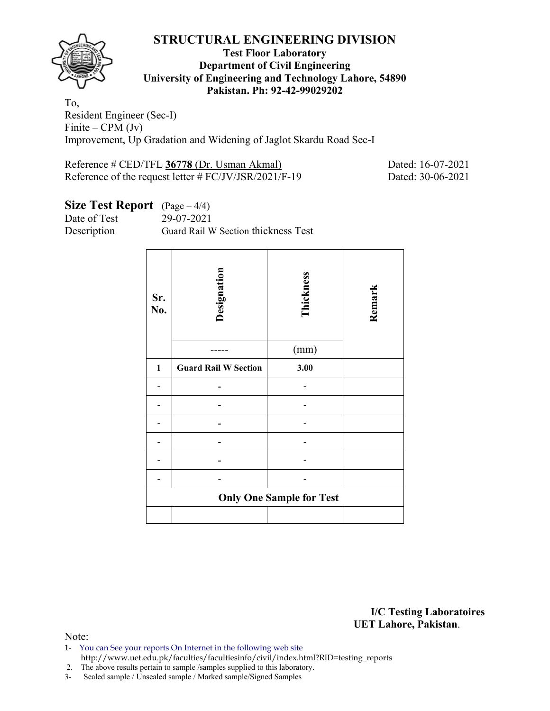

#### **Test Floor Laboratory Department of Civil Engineering University of Engineering and Technology Lahore, 54890 Pakistan. Ph: 92-42-99029202**

To, Resident Engineer (Sec-I) Finite – CPM  $(Jv)$ Improvement, Up Gradation and Widening of Jaglot Skardu Road Sec-I

Reference # CED/TFL **36778** (Dr. Usman Akmal) Dated: 16-07-2021 Reference of the request letter # FC/JV/JSR/2021/F-19 Dated: 30-06-2021

## **Size Test Report** (Page – 4/4)

Date of Test 29-07-2021

Description Guard Rail W Section thickness Test

| Sr.<br>No. | Designation                     | Thickness<br>(mm) | Remark |  |  |  |  |  |
|------------|---------------------------------|-------------------|--------|--|--|--|--|--|
| 1          | <b>Guard Rail W Section</b>     | 3.00              |        |  |  |  |  |  |
|            |                                 |                   |        |  |  |  |  |  |
|            |                                 |                   |        |  |  |  |  |  |
|            |                                 |                   |        |  |  |  |  |  |
|            |                                 |                   |        |  |  |  |  |  |
|            |                                 |                   |        |  |  |  |  |  |
|            |                                 |                   |        |  |  |  |  |  |
|            | <b>Only One Sample for Test</b> |                   |        |  |  |  |  |  |
|            |                                 |                   |        |  |  |  |  |  |

**I/C Testing Laboratoires UET Lahore, Pakistan**.

- 1- You can See your reports On Internet in the following web site http://www.uet.edu.pk/faculties/facultiesinfo/civil/index.html?RID=testing\_reports
- 2. The above results pertain to sample /samples supplied to this laboratory.
- 3- Sealed sample / Unsealed sample / Marked sample/Signed Samples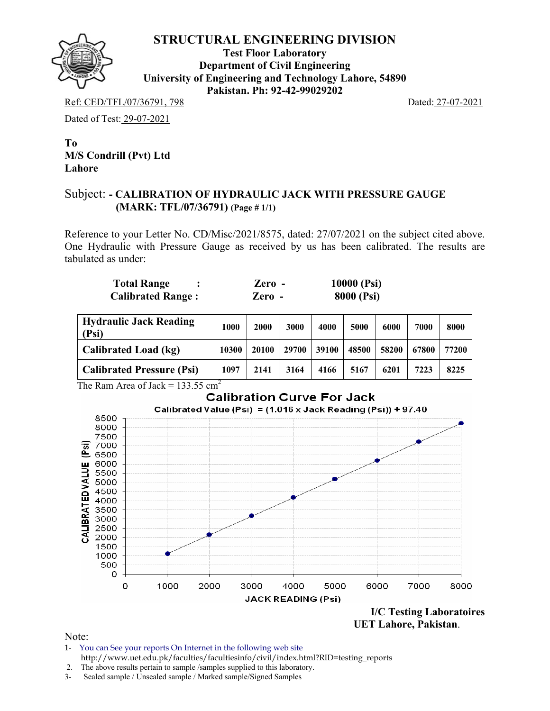

**Test Floor Laboratory Department of Civil Engineering University of Engineering and Technology Lahore, 54890 Pakistan. Ph: 92-42-99029202** 

Ref: CED/TFL/07/36791, 798 Dated: 27-07-2021

Dated of Test: 29-07-2021

**To M/S Condrill (Pvt) Ltd Lahore** 

#### Subject: **- CALIBRATION OF HYDRAULIC JACK WITH PRESSURE GAUGE (MARK: TFL/07/36791) (Page # 1/1)**

Reference to your Letter No. CD/Misc/2021/8575, dated: 27/07/2021 on the subject cited above. One Hydraulic with Pressure Gauge as received by us has been calibrated. The results are tabulated as under:

| <b>Total Range</b>       | $\chi$ ero - | 10000 (Psi)       |
|--------------------------|--------------|-------------------|
| <b>Calibrated Range:</b> | Zero -       | <b>8000 (Psi)</b> |

| <b>Hydraulic Jack Reading</b><br>(Psi) | 1000  | 2000  | 3000  | 4000  | 5000  | 6000  | 7000  | 8000  |
|----------------------------------------|-------|-------|-------|-------|-------|-------|-------|-------|
| Calibrated Load (kg)                   | 10300 | 20100 | 29700 | 39100 | 48500 | 58200 | 67800 | 77200 |
| <b>Calibrated Pressure (Psi)</b>       | 1097  | 2141  | 3164  | 4166  | 5167  | 6201  | 7223  | 8225  |

The Ram Area of Jack =  $133.55$  cm<sup>2</sup>



**UET Lahore, Pakistan**.

- 1- You can See your reports On Internet in the following web site http://www.uet.edu.pk/faculties/facultiesinfo/civil/index.html?RID=testing\_reports
- 2. The above results pertain to sample /samples supplied to this laboratory.
- 3- Sealed sample / Unsealed sample / Marked sample/Signed Samples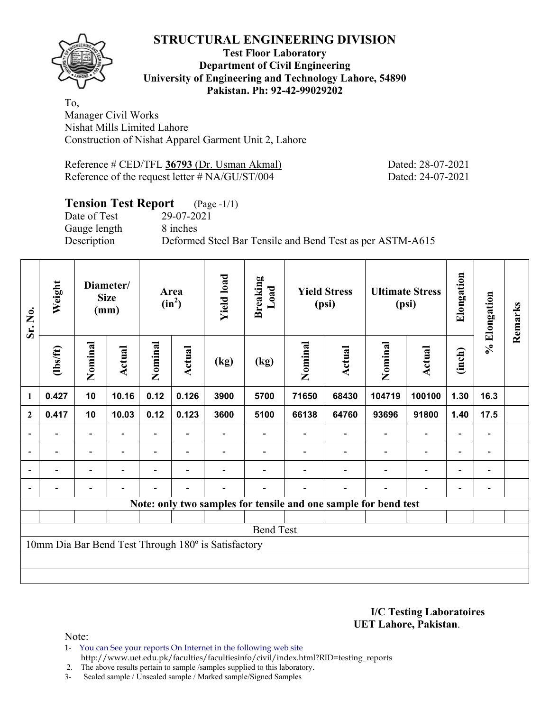#### **Test Floor Laboratory Department of Civil Engineering University of Engineering and Technology Lahore, 54890 Pakistan. Ph: 92-42-99029202**

To, Manager Civil Works Nishat Mills Limited Lahore Construction of Nishat Apparel Garment Unit 2, Lahore

Reference # CED/TFL **36793** (Dr. Usman Akmal) Dated: 28-07-2021 Reference of the request letter # NA/GU/ST/004 Dated: 24-07-2021

## **Tension Test Report** (Page -1/1)

Date of Test 29-07-2021 Gauge length 8 inches

Description Deformed Steel Bar Tensile and Bend Test as per ASTM-A615

| Sr. No.                                                         | Weight   | Diameter/<br><b>Size</b><br>(mm) |                          | Area<br>$(in^2)$ |                          | <b>Yield load</b> | <b>Breaking</b><br>Load | <b>Yield Stress</b><br>(psi) |        | <b>Ultimate Stress</b><br>(psi) |                          | Elongation               | % Elongation             | Remarks |
|-----------------------------------------------------------------|----------|----------------------------------|--------------------------|------------------|--------------------------|-------------------|-------------------------|------------------------------|--------|---------------------------------|--------------------------|--------------------------|--------------------------|---------|
|                                                                 | (1bs/ft) | Nominal                          | Actual                   | Nominal          | Actual                   | (kg)              | (kg)                    | Nominal                      | Actual | Nominal                         | Actual                   | (inch)                   |                          |         |
| 1                                                               | 0.427    | 10                               | 10.16                    | 0.12             | 0.126                    | 3900              | 5700                    | 71650                        | 68430  | 104719                          | 100100                   | 1.30                     | 16.3                     |         |
| $\boldsymbol{2}$                                                | 0.417    | 10                               | 10.03                    | 0.12             | 0.123                    | 3600              | 5100                    | 66138                        | 64760  | 93696                           | 91800                    | 1.40                     | 17.5                     |         |
|                                                                 |          | $\overline{\phantom{0}}$         |                          |                  |                          |                   |                         |                              |        |                                 | $\overline{\phantom{a}}$ | $\overline{\phantom{0}}$ | $\overline{\phantom{a}}$ |         |
| $\blacksquare$                                                  |          | $\blacksquare$                   | $\blacksquare$           |                  | $\blacksquare$           |                   |                         |                              |        |                                 | $\overline{\phantom{a}}$ | $\blacksquare$           | $\overline{\phantom{a}}$ |         |
|                                                                 | Ξ.       | Ξ.                               | $\overline{\phantom{a}}$ | $\blacksquare$   | $\overline{\phantom{0}}$ |                   |                         |                              |        | $\overline{\phantom{0}}$        | $\overline{\phantom{a}}$ | $\overline{\phantom{a}}$ | $\blacksquare$           |         |
|                                                                 |          | $\qquad \qquad -$                | $\overline{\phantom{0}}$ |                  | $\overline{\phantom{a}}$ |                   |                         |                              |        |                                 | $\overline{\phantom{a}}$ | $\blacksquare$           | -                        |         |
| Note: only two samples for tensile and one sample for bend test |          |                                  |                          |                  |                          |                   |                         |                              |        |                                 |                          |                          |                          |         |
|                                                                 |          |                                  |                          |                  |                          |                   |                         |                              |        |                                 |                          |                          |                          |         |
| <b>Bend Test</b>                                                |          |                                  |                          |                  |                          |                   |                         |                              |        |                                 |                          |                          |                          |         |
| 10mm Dia Bar Bend Test Through 180° is Satisfactory             |          |                                  |                          |                  |                          |                   |                         |                              |        |                                 |                          |                          |                          |         |
|                                                                 |          |                                  |                          |                  |                          |                   |                         |                              |        |                                 |                          |                          |                          |         |
|                                                                 |          |                                  |                          |                  |                          |                   |                         |                              |        |                                 |                          |                          |                          |         |

**I/C Testing Laboratoires UET Lahore, Pakistan**.

Note:

1- You can See your reports On Internet in the following web site http://www.uet.edu.pk/faculties/facultiesinfo/civil/index.html?RID=testing\_reports

2. The above results pertain to sample /samples supplied to this laboratory.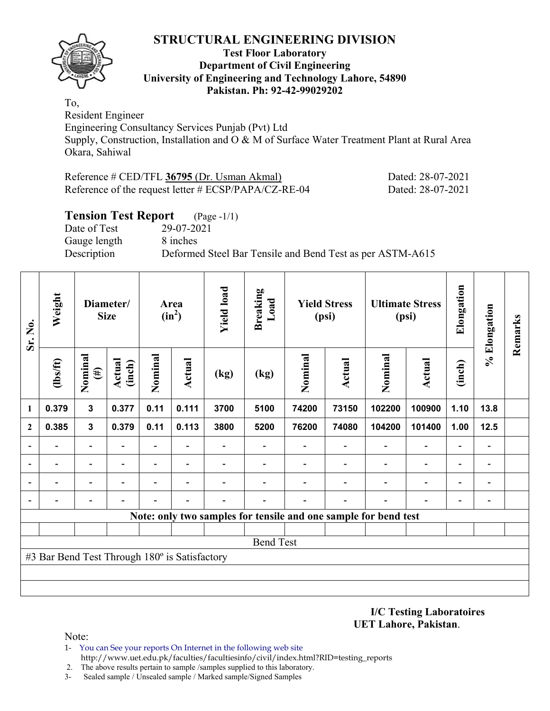

#### **Test Floor Laboratory Department of Civil Engineering University of Engineering and Technology Lahore, 54890 Pakistan. Ph: 92-42-99029202**

To, Resident Engineer

Engineering Consultancy Services Punjab (Pvt) Ltd Supply, Construction, Installation and O & M of Surface Water Treatment Plant at Rural Area Okara, Sahiwal

| Reference # CED/TFL 36795 (Dr. Usman Akmal)             | Dated: 28-07-2021 |
|---------------------------------------------------------|-------------------|
| Reference of the request letter $\#$ ECSP/PAPA/CZ-RE-04 | Dated: 28-07-2021 |

## **Tension Test Report** (Page -1/1)

Date of Test 29-07-2021 Gauge length 8 inches

Description Deformed Steel Bar Tensile and Bend Test as per ASTM-A615

| Sr. No.                                                         | Weight   | Diameter/<br><b>Size</b> |                  | Area<br>$(in^2)$         |                          | <b>Yield load</b> | <b>Breaking</b><br>Load  | <b>Yield Stress</b><br>(psi) |                          | <b>Ultimate Stress</b><br>(psi) |                          | Elongation               | % Elongation                 | Remarks |
|-----------------------------------------------------------------|----------|--------------------------|------------------|--------------------------|--------------------------|-------------------|--------------------------|------------------------------|--------------------------|---------------------------------|--------------------------|--------------------------|------------------------------|---------|
|                                                                 | (1bs/ft) | Nominal<br>$(\#)$        | Actual<br>(inch) | Nominal                  | Actual                   | (kg)              | (kg)                     | Nominal                      | <b>Actual</b>            | Nominal                         | <b>Actual</b>            | (inch)                   |                              |         |
| 1                                                               | 0.379    | $\mathbf{3}$             | 0.377            | 0.11                     | 0.111                    | 3700              | 5100                     | 74200                        | 73150                    | 102200                          | 100900                   | 1.10                     | 13.8                         |         |
| $\mathbf{2}$                                                    | 0.385    | $\mathbf{3}$             | 0.379            | 0.11                     | 0.113                    | 3800              | 5200                     | 76200                        | 74080                    | 104200                          | 101400                   | 1.00                     | $12.5$                       |         |
|                                                                 |          | $\overline{\phantom{0}}$ |                  | $\overline{\phantom{0}}$ |                          |                   | $\overline{\phantom{0}}$ |                              | $\overline{\phantom{a}}$ |                                 | $\overline{\phantom{0}}$ | $\overline{\phantom{0}}$ | $\qquad \qquad \blacksquare$ |         |
|                                                                 |          |                          |                  | -                        | $\overline{\phantom{a}}$ |                   |                          |                              |                          |                                 | $\overline{a}$           | $\overline{\phantom{0}}$ | -                            |         |
|                                                                 |          | ٠                        |                  | $\overline{\phantom{0}}$ | $\overline{\phantom{0}}$ |                   |                          |                              |                          |                                 | $\overline{\phantom{0}}$ | $\overline{\phantom{0}}$ | $\blacksquare$               |         |
|                                                                 |          |                          |                  |                          |                          |                   |                          |                              |                          |                                 |                          |                          | -                            |         |
| Note: only two samples for tensile and one sample for bend test |          |                          |                  |                          |                          |                   |                          |                              |                          |                                 |                          |                          |                              |         |
|                                                                 |          |                          |                  |                          |                          |                   |                          |                              |                          |                                 |                          |                          |                              |         |
| <b>Bend Test</b>                                                |          |                          |                  |                          |                          |                   |                          |                              |                          |                                 |                          |                          |                              |         |
| #3 Bar Bend Test Through 180° is Satisfactory                   |          |                          |                  |                          |                          |                   |                          |                              |                          |                                 |                          |                          |                              |         |
|                                                                 |          |                          |                  |                          |                          |                   |                          |                              |                          |                                 |                          |                          |                              |         |
|                                                                 |          |                          |                  |                          |                          |                   |                          |                              |                          |                                 |                          |                          |                              |         |

**I/C Testing Laboratoires UET Lahore, Pakistan**.

- 1- You can See your reports On Internet in the following web site http://www.uet.edu.pk/faculties/facultiesinfo/civil/index.html?RID=testing\_reports
- 2. The above results pertain to sample /samples supplied to this laboratory.
- 3- Sealed sample / Unsealed sample / Marked sample/Signed Samples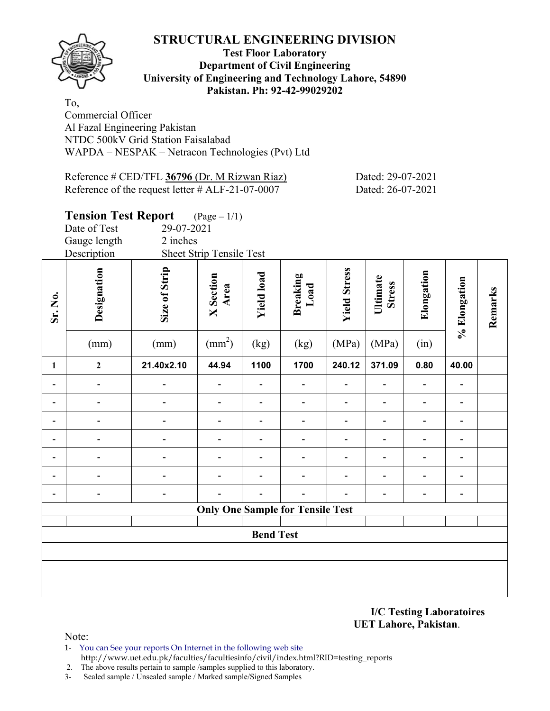

#### **Test Floor Laboratory Department of Civil Engineering University of Engineering and Technology Lahore, 54890 Pakistan. Ph: 92-42-99029202**

To, Commercial Officer Al Fazal Engineering Pakistan NTDC 500kV Grid Station Faisalabad WAPDA – NESPAK – Netracon Technologies (Pvt) Ltd

| Reference # CED/TFL 36796 (Dr. M Rizwan Riaz)       | Dated: 29-07-2021 |
|-----------------------------------------------------|-------------------|
| Reference of the request letter $\#$ ALF-21-07-0007 | Dated: 26-07-2021 |

## **Tension Test Report** (Page – 1/1) Date of Test 29-07-2021 Gauge length 2 inches Description Sheet Strip Tensile Test **Designation<br>Size of Strip<br>X Section<br>Xield load<br>Rreaking<br>Load<br>Vield Stress**<br>Ultimate **Elongation**  Elongation **Stress % Elongation**  % Elongation **Remarks**  Remarks **Sr. No.**   $(mm)$  (mm)  $(mm^2)$  $(kg)$   $(kg)$   $(MPa)$   $(MPa)$   $(in)$ **1 2 21.40x2.10 44.94 1100 1700 240.12 371.09 0.80 40.00 - - - - - - - - - - - - - - - - - - - - - - - - - - - - - - - - - - - - - - - - - - - - - - - - - - - - - - - - - - - - - - - - - - - - - - Only One Sample for Tensile Test Bend Test**

**I/C Testing Laboratoires UET Lahore, Pakistan**.

- 1- You can See your reports On Internet in the following web site http://www.uet.edu.pk/faculties/facultiesinfo/civil/index.html?RID=testing\_reports
- 2. The above results pertain to sample /samples supplied to this laboratory.
- 3- Sealed sample / Unsealed sample / Marked sample/Signed Samples